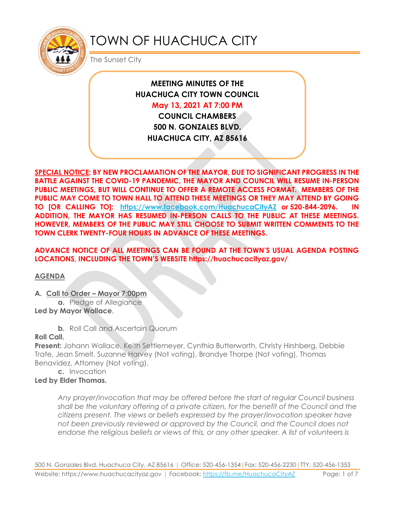

# TOWN OF HUACHUCA CITY

The Sunset City

# **MEETING MINUTES OF THE HUACHUCA CITY TOWN COUNCIL May 13, 2021 AT 7:00 PM**

**COUNCIL CHAMBERS 500 N. GONZALES BLVD. HUACHUCA CITY, AZ 85616**

**SPECIAL NOTICE: BY NEW PROCLAMATION OF THE MAYOR, DUE TO SIGNIFICANT PROGRESS IN THE BATTLE AGAINST THE COVID-19 PANDEMIC, THE MAYOR AND COUNCIL WILL RESUME IN-PERSON PUBLIC MEETINGS, BUT WILL CONTINUE TO OFFER A REMOTE ACCESS FORMAT. MEMBERS OF THE PUBLIC MAY COME TO TOWN HALL TO ATTEND THESE MEETINGS OR THEY MAY ATTEND BY GOING TO [OR CALLING TO]: <https://www.facebook.com/HuachucaCityAZ> or 520-844-2096. IN ADDITION, THE MAYOR HAS RESUMED IN-PERSON CALLS TO THE PUBLIC AT THESE MEETINGS. HOWEVER, MEMBERS OF THE PUBLIC MAY STILL CHOOSE TO SUBMIT WRITTEN COMMENTS TO THE TOWN CLERK TWENTY-FOUR HOURS IN ADVANCE OF THESE MEETINGS.** 

# **ADVANCE NOTICE OF ALL MEETINGS CAN BE FOUND AT THE TOWN'S USUAL AGENDA POSTING LOCATIONS, INCLUDING THE TOWN'S WEBSITE https://huachucacityaz.gov/**

**AGENDA**

## **A. Call to Order – Mayor 7:00pm**

**a.** Pledge of Allegiance **Led by Mayor Wallace**.

**b.** Roll Call and Ascertain Quorum

## **Roll Call.**

**Present:** Johann Wallace, Keith Settlemeyer, Cynthia Butterworth, Christy Hirshberg, Debbie Trate, Jean Smelt, Suzanne Harvey (Not voting), Brandye Thorpe (Not voting), Thomas Benavidez, Attorney (Not voting).

**c.** Invocation

# **Led by Elder Thomas.**

*Any prayer/invocation that may be offered before the start of regular Council business shall be the voluntary offering of a private citizen, for the benefit of the Council and the citizens present. The views or beliefs expressed by the prayer/invocation speaker have not been previously reviewed or approved by the Council, and the Council does not endorse the religious beliefs or views of this, or any other speaker. A list of volunteers is*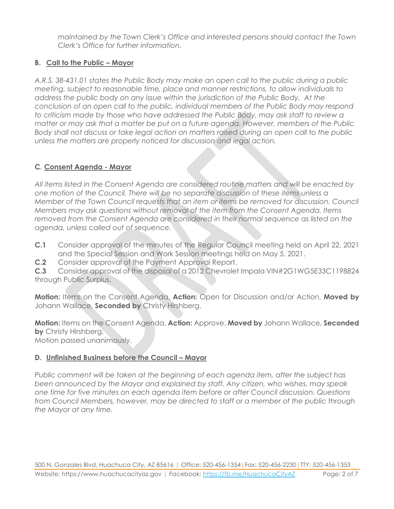*maintained by the Town Clerk's Office and interested persons should contact the Town Clerk's Office for further information.*

# **B. Call to the Public – Mayor**

*A.R.S. 38-431.01 states the Public Body may make an open call to the public during a public meeting, subject to reasonable time, place and manner restrictions, to allow individuals to address the public body on any issue within the jurisdiction of the Public Body. At the conclusion of an open call to the public, individual members of the Public Body may respond to criticism made by those who have addressed the Public Body, may ask staff to review a matter or may ask that a matter be put on a future agenda. However, members of the Public Body shall not discuss or take legal action on matters raised during an open call to the public unless the matters are properly noticed for discussion and legal action.*

# **C***.* **Consent Agenda - Mayor**

*All items listed in the Consent Agenda are considered routine matters and will be enacted by one motion of the Council. There will be no separate discussion of these items unless a Member of the Town Council requests that an item or items be removed for discussion. Council Members may ask questions without removal of the item from the Consent Agenda. Items removed from the Consent Agenda are considered in their normal sequence as listed on the agenda, unless called out of sequence.*

- **C.1** Consider approval of the minutes of the Regular Council meeting held on April 22, 2021 and the Special Session and Work Session meetings held on May 5, 2021.
- **C.2** Consider approval of the Payment Approval Report.

**C.3** Consider approval of the disposal of a 2012 Chevrolet Impala VIN#2G1WG5E33C1198824 through Public Surplus.

**Motion:** Items on the Consent Agenda, **Action:** Open for Discussion and/or Action, **Moved by** Johann Wallace, **Seconded by** Christy Hirshberg.

**Motion:** Items on the Consent Agenda, **Action:** Approve, **Moved by** Johann Wallace, **Seconded by** Christy Hirshberg.

Motion passed unanimously.

# **D.** Unfinished Business before the Council – Mayor

*Public comment will be taken at the beginning of each agenda item, after the subject has been announced by the Mayor and explained by staff. Any citizen, who wishes, may speak one time for five minutes on each agenda item before or after Council discussion. Questions from Council Members, however, may be directed to staff or a member of the public through the Mayor at any time.*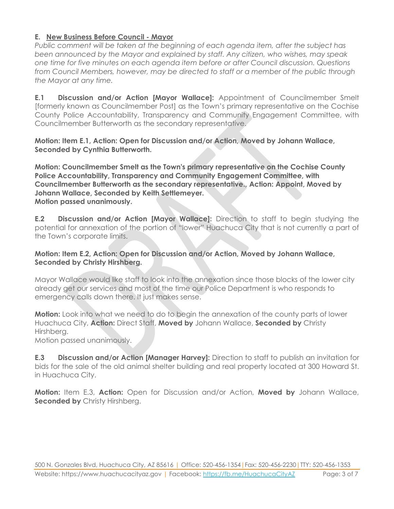## **E. New Business Before Council - Mayor**

*Public comment will be taken at the beginning of each agenda item, after the subject has been announced by the Mayor and explained by staff. Any citizen, who wishes, may speak one time for five minutes on each agenda item before or after Council discussion. Questions from Council Members, however, may be directed to staff or a member of the public through the Mayor at any time.*

**E.1 Discussion and/or Action [Mayor Wallace]:** Appointment of Councilmember Smelt [formerly known as Councilmember Post] as the Town's primary representative on the Cochise County Police Accountability, Transparency and Community Engagement Committee, with Councilmember Butterworth as the secondary representative.

**Motion: Item E.1, Action: Open for Discussion and/or Action, Moved by Johann Wallace, Seconded by Cynthia Butterworth.**

**Motion: Councilmember Smelt as the Town's primary representative on the Cochise County Police Accountability, Transparency and Community Engagement Committee, with Councilmember Butterworth as the secondary representative., Action: Appoint, Moved by Johann Wallace, Seconded by Keith Settlemeyer. Motion passed unanimously.**

**E.2 Discussion and/or Action [Mayor Wallace]:** Direction to staff to begin studying the potential for annexation of the portion of "lower" Huachuca City that is not currently a part of the Town's corporate limits.

#### **Motion: Item E.2, Action: Open for Discussion and/or Action, Moved by Johann Wallace, Seconded by Christy Hirshberg.**

Mayor Wallace would like staff to look into the annexation since those blocks of the lower city already get our services and most of the time our Police Department is who responds to emergency calls down there. It just makes sense.

**Motion:** Look into what we need to do to begin the annexation of the county parts of lower Huachuca City, **Action:** Direct Staff, **Moved by** Johann Wallace, **Seconded by** Christy Hirshberg.

Motion passed unanimously.

**E.3 Discussion and/or Action [Manager Harvey]:** Direction to staff to publish an invitation for bids for the sale of the old animal shelter building and real property located at 300 Howard St. in Huachuca City.

**Motion:** Item E.3, **Action:** Open for Discussion and/or Action, **Moved by** Johann Wallace, **Seconded by Christy Hirshberg.**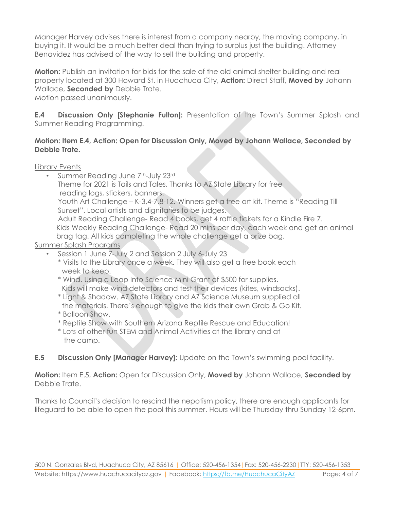Manager Harvey advises there is interest from a company nearby, the moving company, in buying it. It would be a much better deal than trying to surplus just the building. Attorney Benavidez has advised of the way to sell the building and property.

**Motion:** Publish an invitation for bids for the sale of the old animal shelter building and real property located at 300 Howard St. in Huachuca City, **Action:** Direct Staff, **Moved by** Johann Wallace, **Seconded by** Debbie Trate.

Motion passed unanimously.

**E.4 Discussion Only [Stephanie Fulton]:** Presentation of the Town's Summer Splash and Summer Reading Programming.

#### **Motion: Item E.4, Action: Open for Discussion Only, Moved by Johann Wallace, Seconded by Debbie Trate.**

Library Events

- Summer Reading June 7<sup>th</sup>-July 23<sup>rd</sup> Theme for 2021 is Tails and Tales. Thanks to AZ State Library for free reading logs, stickers, banners. Youth Art Challenge – K-3,4-7,8-12. Winners get a free art kit. Theme is "Reading Till Sunset". Local artists and dignitaries to be judges. Adult Reading Challenge- Read 4 books, get 4 raffle tickets for a Kindle Fire 7. Kids Weekly Reading Challenge- Read 20 mins per day, each week and get an animal brag tag. All kids completing the whole challenge get a prize bag. Summer Splash Programs
	- Session 1 June 7-July 2 and Session 2 July 6-July 23
		- \* Visits to the Library once a week. They will also get a free book each week to keep.
		- \* Wind. Using a Leap Into Science Mini Grant of \$500 for supplies. Kids will make wind detectors and test their devices (kites, windsocks).
		- \* Light & Shadow. AZ State Library and AZ Science Museum supplied all the materials. There's enough to give the kids their own Grab & Go Kit.
		- \* Balloon Show.
		- \* Reptile Show with Southern Arizona Reptile Rescue and Education!
		- \* Lots of other fun STEM and Animal Activities at the library and at the camp.
- **E.5 Discussion Only [Manager Harvey]:** Update on the Town's swimming pool facility.

**Motion:** Item E.5, **Action:** Open for Discussion Only, **Moved by** Johann Wallace, **Seconded by** Debbie Trate.

Thanks to Council's decision to rescind the nepotism policy, there are enough applicants for lifeguard to be able to open the pool this summer. Hours will be Thursday thru Sunday 12-6pm.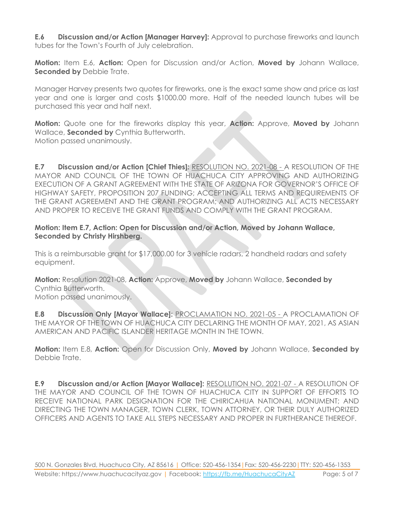**E.6 Discussion and/or Action [Manager Harvey]:** Approval to purchase fireworks and launch tubes for the Town's Fourth of July celebration.

**Motion:** Item E.6, **Action:** Open for Discussion and/or Action, **Moved by** Johann Wallace, **Seconded by** Debbie Trate.

Manager Harvey presents two quotes for fireworks, one is the exact same show and price as last year and one is larger and costs \$1000.00 more. Half of the needed launch tubes will be purchased this year and half next.

**Motion:** Quote one for the fireworks display this year, **Action:** Approve, **Moved by** Johann Wallace, **Seconded by** Cynthia Butterworth. Motion passed unanimously.

**E.7 Discussion and/or Action [Chief Thies]:** RESOLUTION NO. 2021-08 - A RESOLUTION OF THE MAYOR AND COUNCIL OF THE TOWN OF HUACHUCA CITY APPROVING AND AUTHORIZING EXECUTION OF A GRANT AGREEMENT WITH THE STATE OF ARIZONA FOR GOVERNOR'S OFFICE OF HIGHWAY SAFETY, PROPOSITION 207 FUNDING; ACCEPTING ALL TERMS AND REQUIREMENTS OF THE GRANT AGREEMENT AND THE GRANT PROGRAM; AND AUTHORIZING ALL ACTS NECESSARY AND PROPER TO RECEIVE THE GRANT FUNDS AND COMPLY WITH THE GRANT PROGRAM.

#### **Motion: Item E.7, Action: Open for Discussion and/or Action, Moved by Johann Wallace, Seconded by Christy Hirshberg.**

This is a reimbursable grant for \$17,000.00 for 3 vehicle radars, 2 handheld radars and safety equipment.

**Motion:** Resolution 2021-08, **Action:** Approve, **Moved by** Johann Wallace, **Seconded by** Cynthia Butterworth. Motion passed unanimously.

**E.8 Discussion Only [Mayor Wallace]:** PROCLAMATION NO. 2021-05 - A PROCLAMATION OF THE MAYOR OF THE TOWN OF HUACHUCA CITY DECLARING THE MONTH OF MAY, 2021, AS ASIAN AMERICAN AND PACIFIC ISLANDER HERITAGE MONTH IN THE TOWN.

**Motion:** Item E.8, **Action:** Open for Discussion Only, **Moved by** Johann Wallace, **Seconded by** Debbie Trate.

**E.9 Discussion and/or Action [Mayor Wallace]:** RESOLUTION NO. 2021-07 - A RESOLUTION OF THE MAYOR AND COUNCIL OF THE TOWN OF HUACHUCA CITY IN SUPPORT OF EFFORTS TO RECEIVE NATIONAL PARK DESIGNATION FOR THE CHIRICAHUA NATIONAL MONUMENT; AND DIRECTING THE TOWN MANAGER, TOWN CLERK, TOWN ATTORNEY, OR THEIR DULY AUTHORIZED OFFICERS AND AGENTS TO TAKE ALL STEPS NECESSARY AND PROPER IN FURTHERANCE THEREOF.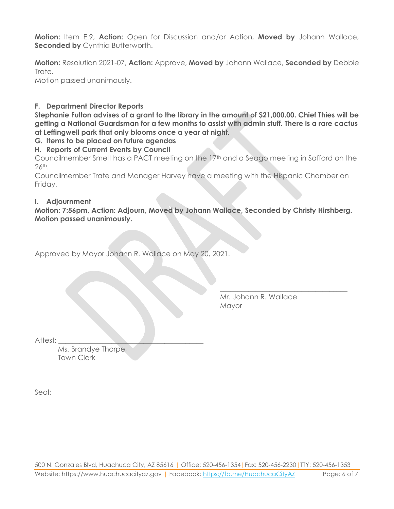**Motion:** Item E.9, **Action:** Open for Discussion and/or Action, **Moved by** Johann Wallace, **Seconded by Cynthia Butterworth.** 

**Motion:** Resolution 2021-07, **Action:** Approve, **Moved by** Johann Wallace, **Seconded by** Debbie Trate.

Motion passed unanimously.

#### **F. Department Director Reports**

**Stephanie Fulton advises of a grant to the library in the amount of \$21,000.00. Chief Thies will be getting a National Guardsman for a few months to assist with admin stuff. There is a rare cactus at Leffingwell park that only blooms once a year at night.**

#### **G. Items to be placed on future agendas**

#### **H. Reports of Current Events by Council**

Councilmember Smelt has a PACT meeting on the 17th and a Seago meeting in Safford on the 26th.

Councilmember Trate and Manager Harvey have a meeting with the Hispanic Chamber on Friday.

#### **I. Adjournment**

**Motion: 7:56pm, Action: Adjourn, Moved by Johann Wallace, Seconded by Christy Hirshberg. Motion passed unanimously.**

Approved by Mayor Johann R. Wallace on May 20, 2021.

Mr. Johann R. Wallace Mayor

\_\_\_\_\_\_\_\_\_\_\_\_\_\_\_\_\_\_\_\_\_\_\_\_\_\_\_\_\_\_\_\_\_\_\_\_

Attest:

Ms. Brandye Thorpe, Town Clerk

Seal: